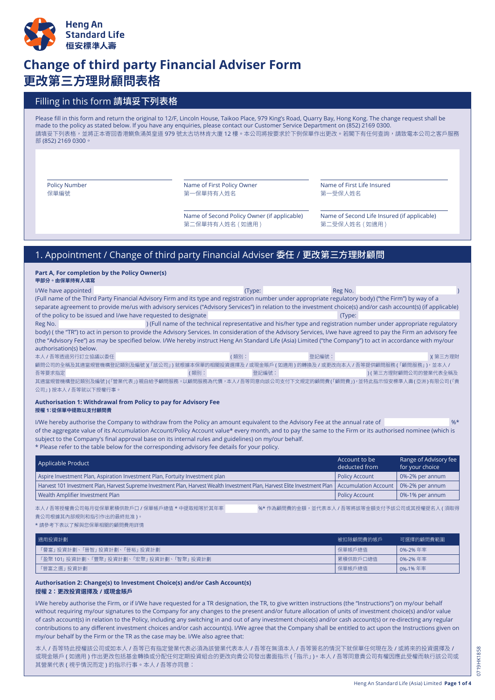

# **Change of third party Financial Adviser Form 更改第三方理財顧問表格**

## Filling in this form 請填妥下列表格

Please fill in this form and return the original to 12/F, Lincoln House, Taikoo Place, 979 King's Road, Quarry Bay, Hong Kong. The change request shall be made to the policy as stated below. If you have any enquiries, please contact our Customer Service Department on (852) 2169 0300. 請填妥下列表格,並將正本寄回香港鰂魚涌英皇道 979 號太古坊林肯大廈 12 樓。本公司將按要求於下例保單作出更改。若閣下有任何查詢,請致電本公司之客戶服務 部 (852) 2169 0300。

Policy Number 保單編號

Name of First Policy Owner 第一保單持有人姓名

Name of Second Policy Owner (if applicable) 第二保單持有人姓名 ( 如適用 )

Name of First Life Insured 第一受保人姓名

Name of Second Life Insured (if applicable) 第二受保人姓名 ( 如適用 )

# 1. Appointment / Change of third party Financial Adviser 委任 / 更改第三方理財顧問

**Part A, For completion by the Policy Owner(s) 甲部分。由保單持有人填寫**

| I/We have appointed                                                                                                                                             | (Type:        | Reg No.                                                                                                            |                     |  |
|-----------------------------------------------------------------------------------------------------------------------------------------------------------------|---------------|--------------------------------------------------------------------------------------------------------------------|---------------------|--|
| (Full name of the Third Party Financial Advisory Firm and its type and registration number under appropriate regulatory body) ("the Firm") by way of a          |               |                                                                                                                    |                     |  |
| separate agreement to provide me/us with advisory services ("Advisory Services") in relation to the investment choice(s) and/or cash account(s) (if applicable) |               |                                                                                                                    |                     |  |
| of the policy to be issued and I/we have requested to designate                                                                                                 |               | (Type:                                                                                                             |                     |  |
| Reg No.                                                                                                                                                         |               | ) (Full name of the technical representative and his/her type and registration number under appropriate regulatory |                     |  |
| body) (the "TR") to act in person to provide the Advisory Services. In consideration of the Advisory Services, I/we have agreed to pay the Firm an advisory fee |               |                                                                                                                    |                     |  |
| (the "Advisory Fee") as may be specified below. I/We hereby instruct Heng An Standard Life (Asia) Limited ("the Company") to act in accordance with my/our      |               |                                                                                                                    |                     |  |
| authorisation(s) below.                                                                                                                                         |               |                                                                                                                    |                     |  |
| 本人 / 吾等透過另行訂立協議以委任                                                                                                                                              | (類別:          | 登記編號:                                                                                                              | )( 第三方理財            |  |
| 顧問公司的全稱及其適當規管機構登記類別及編號 )(「該公司」) 就根據本保單的相關投資選擇及 / 或現金賬戶 ( 如適用 ) 的轉換及 / 或更改向本人 / 吾等提供顧問服務 (「顧問服務」),並本人 /                                                          |               |                                                                                                                    |                     |  |
| 吾等要求指定                                                                                                                                                          | 登記編號:<br>(類別: |                                                                                                                    | )(第三方理財顧問公司的營業代表全稱及 |  |
|                                                                                                                                                                 |               |                                                                                                                    |                     |  |

公司」) 按本人 / 吾等就以下授權行事。

#### **Authorisation 1: Withdrawal from Policy to pay for Advisory Fee 授權 1:從保單中提款以支付顧問費**

I/We hereby authorise the Company to withdraw from the Policy an amount equivalent to the Advisory Fee at the annual rate of  $\frac{1}{2}$ %\* of the aggregate value of its Accumulation Account/Policy Account value\* every month, and to pay the same to the Firm or its authorised nominee (which is subject to the Company's final approval base on its internal rules and guidelines) on my/our behalf. \* Please refer to the table below for the corresponding advisory fee details for your policy.

Applicable Product Range of Advisory fee for your choice Account to be deducted from Aspire Investment Plan, Aspiration Investment Plan, Fortuity Investment plan Harvest 101 Investment Plan, Harvest Supreme Investment Plan, Harvest Wealth Investment Plan, Harvest Elite Investment Plan Wealth Amplifier Investment Plan Policy Account Accumulation Account Policy Account 0%-2% per annum 0%-2% per annum 0%-1% per annum

貴公司根據其內部規則和指引作出的最終批准 )。

本人 / 吾等授權貴公司每月從保單累積供款戶口 / 保單帳戶總值 \* 中提取相等於其年率 %\* 作為顧問費的金額,並代表本人 / 吾等將該等金額支付予該公司或其授權提名人 ( 須取得

\* 請參考下表以了解與您保單相關的顧問費用詳情

| 滴用投資計劃                                      | 被扣除顧問費的帳戶 | 可撰擇的顧問費範圍 |
|---------------------------------------------|-----------|-----------|
| 「譽富」投資計劃、「晉智」投資計劃、「晉裕」投資計劃                  | 保單帳戶總值    | 0%-2%年率   |
| 「盈聚 101」 投資計劃、「豐聚」 投資計劃、「宏聚」 投資計劃、「智聚」 投資計劃 | 累積供款戶口總值  | 0%-2%年率   |
| 「晉富之撰」 投資計劃                                 | 保單帳戶總值    | 0%-1% 年率  |

#### **Authorisation 2: Change(s) to Investment Choice(s) and/or Cash Account(s) 授權 2:更改投資選擇及 / 或現金賬戶**

I/We hereby authorise the Firm, or if I/We have requested for a TR designation, the TR, to give written instructions (the "Instructions") on my/our behalf without requiring my/our signatures to the Company for any changes to the present and/or future allocation of units of investment choice(s) and/or value of cash account(s) in relation to the Policy, including any switching in and out of any investment choice(s) and/or cash account(s) or re-directing any regular contributions to any different investment choices and/or cash account(s). I/We agree that the Company shall be entitled to act upon the Instructions given on my/our behalf by the Firm or the TR as the case may be. I/We also agree that:

本人 / 吾等特此授權該公司或如本人 / 吾等已有指定營業代表必須為該營業代表本人 / 吾等在無須本人 / 吾等簽名的情況下就保單任何現在及 / 或將來的投資選擇及 / 或現金賬戶 ( 如適用 ) 作出更改包括基金轉換或分配任何定期投資組合的更改向貴公司發出書面指示 (「指示」)。本人 / 吾等同意貴公司有權因應此受權而執行該公司或 其營業代表 ( 視乎情況而定 ) 的指示行事。本人 / 吾等亦同意: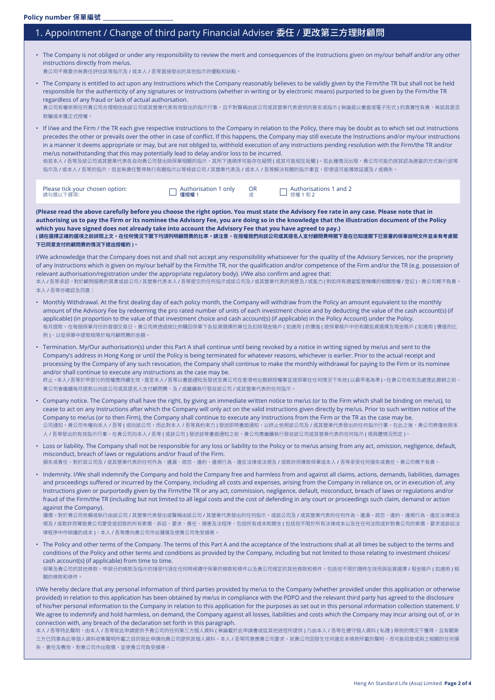## 1. Appointment / Change of third party Financial Adviser 委任 / 更改第三方理財顧問

| The Company is not obliged or under any responsibility to review the merit and consequences of the Instructions given on my/our behalf and/or any other                                                                                                                                                                                                                                                                                                                         |
|---------------------------------------------------------------------------------------------------------------------------------------------------------------------------------------------------------------------------------------------------------------------------------------------------------------------------------------------------------------------------------------------------------------------------------------------------------------------------------|
| instructions directly from me/us.                                                                                                                                                                                                                                                                                                                                                                                                                                               |
| $\mathfrak{m} \circ \mathfrak{m} \to \mathfrak{m} \circ \mathfrak{m} \to \mathfrak{m} \circ \mathfrak{m} \circ \mathfrak{m} \circ \mathfrak{m} \circ \mathfrak{m} \circ \mathfrak{m} \circ \mathfrak{m} \circ \mathfrak{m} \circ \mathfrak{m} \circ \mathfrak{m} \circ \mathfrak{m} \circ \mathfrak{m} \circ \mathfrak{m} \circ \mathfrak{m} \circ \mathfrak{m} \circ \mathfrak{m} \circ \mathfrak{m} \circ \mathfrak{m} \circ \mathfrak{m} \circ \mathfrak{m} \circ \mathfrak$ |

貴公司不需要亦無責任評估該等指示及 / 或本人 / 吾等直接發出的其他指示的優點和缺點

• The Company is entitled to act upon any Instructions which the Company reasonably believes to be validly given by the Firm/the TR but shall not be held responsible for the authenticity of any signatures or Instructions (whether in writing or by electronic means) purported to be given by the Firm/the TR regardless of any fraud or lack of actual authorsation. 貴公司有權依照任何貴公司合理相信由該公司或其營業代表有效發出的指示行事,且不對聲稱由該公司或其營業代表提供的簽名或指示(無論是以書面或電子形式 ) 的真實性負責,無該其是否

欺騙或未獲正式授權。

• If I/we and the Firm / the TR each give respective instructions to the Company in relation to the Policy, there may be doubt as to which set out instructions precedes the other or prevails over the other in case of conflict. If this happens, the Company may still execute the Instructions and/or my/our instructions in a manner it deems appropriate or may, but are not obliged to, withhold execution of any instructions pending resolution with the Firm/the TR and/or me/us notwithstanding that this may potentially lead to delay and/or loss to be incurred.

倘若本人 / 吾等及該公司或其營業代表各自向貴公司發出與保單相關的指示,其所下達順序可能存在疑問 ( 或其可能相互抵觸 )。若此種情況出現,貴公司可能仍按其認為適當的方式執行該等 指示及 / 或本人 / 吾等的指示,但並無責任暫停執行有關指示以等候該公司 / 其營業代表及 / 或本人 / 吾等解決有關的指示事宜,即使這可能導致延遲及 / 或損失。

| Please tick your chosen option: | $\Box$ Authorisation 1 only | $\Box$ Authorisations 1 and 2 |
|---------------------------------|-----------------------------|-------------------------------|
| 請勾撰以下撰項:                        | □ 僅授權 1                     | □ 授權 1和 2                     |

**(Please read the above carefully before you choose the right option. You must state the Advisory Fee rate in any case. Please note that in authorising us to pay the Firm or its nominee the Advisory Fee, you are doing so in the knowledge that the illustration document of the Policy which you have signed does not already take into account the Advisory Fee that you have agreed to pay.) ( 請在選擇正確的選項之前詳閱上文。在任何情況下閣下均須列明顧問費的比率。請注意,在授權我們向該公司或其提名人支付顧問費時閣下是在已知道閣下已簽署的保單說明文件並未有考慮閣 下已同意支付的顧問費的情況下提出授權的 )。**

I/We acknowledge that the Company does not and shall not accept any responsibility whatsoever for the quality of the Advisory Services, nor the propriety of any Instructions which is given on my/our behalf by the Firm/the TR, nor the qualification and/or competence of the Firm and/or the TR (e.g. possession of relevant authorisation/registration under the appropriate regulatory body). I/We also confirm and agree that: 本人 / 吾等承認,對於顧問服務的質素或該公司 / 其營業代表本人 / 吾等提交的任何指示或該公司及 / 或其營業代表的資歷及 / 或能力 ( 例如持有適當監管機構的相關授權 / 登記 )。貴公司概不負責。

本人 / 吾等亦確認及同意:

- Monthly Withdrawal. At the first dealing day of each policy month, the Company will withdraw from the Policy an amount equivalent to the monthly amount of the Advisory Fee by redeeming the pro rated number of units of each investment choice and by deducting the value of the cash account(s) (if applicable) (in proportion to the value of that investment choice and cash account(s) (if applicable) in the Policy Account) under the Policy. 每月提款。在每個保單月份的首個交易日,貴公司將透過按比例贖回保單下各投資選擇的單位及扣除現金賬戶 ( 如適用 ) 的價值 ( 按保單賬戶中的有關投資選擇及現金賬戶 ( 如適用 ) 價值的比 例 ),以從保單中提取相等於每月顧問費的金額。
- Termination. My/Our authorisation(s) under this Part A shall continue until being revoked by a notice in writing signed by me/us and sent to the Company's address in Hong Kong or until the Policy is being terminated for whatever reasons, whichever is earlier. Prior to the actual receipt and processing by the Company of any such revocation, the Company shall continue to make the monthly withdrawal for paying to the Firm or its nominee and/or shall continue to execute any instructions as the case may be. 終止。本人/吾等於甲部分的授權應持續生效,直至本人/吾等以書面通知及發送至貴公司在香港地址撤銷授權事宜或保單在任何情況下失效(以最早者為準)。在貴公司收到及處理此撤銷之前, 貴公司會繼續每月提款以向該公司或其提名人支付顧問費,及 / 或繼續執行發自該公司 / 或其營業代表的任何指示。
- Company notice. The Company shall have the right, by giving an immediate written notice to me/us (or to the Firm which shall be binding on me/us), to cease to act on any Instructions after which the Company will only act on the valid instructions given directly by me/us. Prior to such written notice of the Company to me/us (or to then Firm), the Company shall continue to execute any Instructions from the Firm or the TR as the case may be. 公司通知。貴公司布權向本人 / 吾等 ( 或向該公司,而此對本人 / 吾等具約束力 ) 發送即時書面通知,以終止依照該公司及 / 或其營業代表發出的任何指示行事,在此之後,貴公司將僅依照本 人 / 吾等發出的有效指示行事。在貴公司向本人 / 吾等 ( 或該公司 ) 發送該等書面通知之前,貴公司應繼續執行發自該公司或其營業代表的任何指示 ( 視具體情況而定 )。
- Loss or liability. The Company shall not be responsible for any loss or liability to the Policy or to me/us arising from any act, omission, negligence, default, misconduct, breach of laws or regulations and/or fraud of the Firm. 損失或責任。對於該公司及 / 或其營業代表的任何作為、遺漏、疏忽、違約、違規行為、違反法律或法規及 / 或欺詐而導致保單或本人 / 吾等承受任何損失或責任,貴公司概不負責。
- Indemnity. I/We shall indemnify the Company and hold the Company free and harmless from and against all claims, actions, demands, liabilities, damages and proceedings suffered or incurred by the Company, including all costs and expenses, arising from the Company in reliance on, or in execution of, any Instructions given or purportedly given by the Firm/the TR or any act, commission, negligence, default, misconduct, breach of laws or regulations and/or fraud of the Firm/the TR (including but not limited to all legal costs and the cost of defending in any court or proceedings such claim, demand or action against the Company).

彌償。對於貴公司依賴或執行由該公司 / 其營業代表發出或聲稱由該公司 / 其營業代表發出的任何指示,或該公司及 / 或其營業代表的任何作為、遺漏、疏忽、違約、違規行為、違反法律或法 規及 / 或欺詐而導致貴公司蒙受或招致的所有索償、訴訟、要求、責任、損害及法程序,包括所有成本和開支 ( 包括但不限於所有法律成本以及在任何法院或針對貴公司的索償、要求或訴訟法 律程序中作辯護的成本 ), 本人 / 吾等應向貴公司作出彌償及使貴公司免受損害

• The Policy and other terms of the Company. The terms of this Part A and the acceptance of the Instructions shall at all times be subject to the terms and conditions of the Policy and other terms and conditions as provided by the Company, including but not limited to those relating to investment choices/ cash account(s) (if applicable) from time to time.

保單及貴公司的其他條款。甲部分的條款及指示的接受均須在任何時候遵守保單的條款和條件以及貴公司規定的其他條款和條件,包括但不限於隨時生效而與投資選擇 / 現金賬戶 ( 如適用 ) 相 關的條款和條件。

I/We hereby declare that any personal information of third parties provided by me/us to the Company (whether provided under this application or otherwise provided) in relation to this application has been obtained by me/us in compliance with the PDPO and the relevant third party has agreed to the disclosure of his/her personal information to the Company in relation to this application for the purposes as set out in this personal information collection statement. I/ We agree to indemnify and hold harmless, on demand, the Company against all losses, liabilities and costs which the Company may incur arising out of, or in connection with, any breach of the declaration set forth in this paragraph.

本人 / 吾等特此聲明,由本人 / 吾等就此申請提供予貴公司的任何第三方個人資料 ( 無論載於此申請書或從其他途徑所提供 ) 乃由本人 / 吾等在遵守個人資料 ( 私隱 ) 條例的情況下獲得,且有關第 三方已同意為此等個人資料收集聲明所載之目的就此申請向貴公司提供其個人資料。本人 / 吾等同意應貴公司要求,就貴公司因發生任何違反本條款所載的聲明,而可能招致或與之相關的任何損 失、責任及費用,對貴公司作出賠償,並使貴公司負受損害。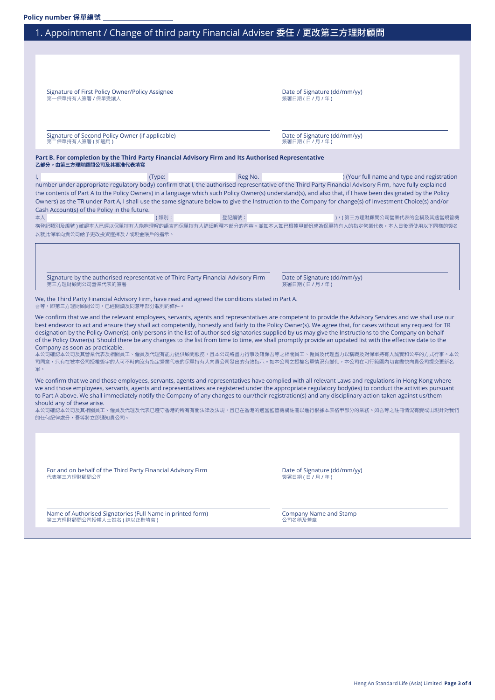### 1. Appointment / Change of third party Financial Adviser 委任 / 更改第三方理財顧問

Signature of First Policy Owner/Policy Assignee<br>第一保單持有人簽署 / 保單受讓人 第一保單持有人簽署 / 保單受讓人 簽署日期 ( 日 / 月 / 年 )

Signature of Second Policy Owner (if applicable) and the control of Signature (dd/mm/yy) and  $\frac{1}{2}$  and  $\frac{1}{2}$ 保單持有人簽署 ( 如適用)

#### **Part B. For completion by the Third Party Financial Advisory Firm and Its Authorised Representative 乙部分。由第三方理財顧問公司及其獲准代表填寫**

I, the contract of the contract of the contract of the Reg No. (Sour full name and type and registration in the contract of the contract of the contract of the contract of the contract of the contract of the contract of th number under appropriate regulatory body) confirm that I, the authorised representative of the Third Party Financial Advisory Firm, have fully explained the contents of Part A to the Policy Owners) in a language which such Policy Owner(s) understand(s), and also that, if I have been designated by the Policy Owners) as the TR under Part A, I shall use the same signature below to give the Instruction to the Company for change(s) of Investment Choice(s) and/or Cash Account(s) of the Policy in the future.

**本人 および おおし ( 類別: きょう の の の から さん さん さん うま きょうきょう ( 第三方理財顧問公司營業代表的全稱及其適當規管機** 構登記類別及編號 ) 確認本人已經以保單持有人能夠理解的語言向保單持有人詳細解釋本部分的內容。並如本人如已根據甲部份成為保單持有人的指定營業代表,本人日後須使用以下同樣的簽名 以就此保單向貴公司給予更改投資選擇及 / 或現金賬戶的指示。

Signature by the authorised representative of Third Party Financial Advisory Firm Date of Signature (dd/mm/yy)<br>第三方理財顧問公司營業代表的簽署 depresentative of Third Party Financial Advisory Firm (http://www.fital.com/filesoparty.com/ 第三方理財顧問公司營業代表的簽署

We, the Third Party Financial Advisory Firm, have read and agreed the conditions stated in Part A. 吾等,即第三方理財顧問公司,已經閱讀及同意甲部分載列的條件。

We confirm that we and the relevant employees, servants, agents and representatives are competent to provide the Advisory Services and we shall use our best endeavor to act and ensure they shall act competently, honestly and fairly to the Policy Owner(s). We agree that, for cases without any request for TR designation by the Policy Owner(s), only persons in the list of authorised signatories supplied by us may give the Instructions to the Company on behalf of the Policy Owner(s). Should there be any changes to the list from time to time, we shall promptly provide an updated list with the effective date to the Company as soon as practicable.

本公司確認本公司及其營業代表及相關員工、僱員及代理有能力提供顧問服務,且本公司將盡力行事及確保吾等之相關員工、僱員及代理盡力以稱職及對保單持有人誠實和公平的方式行事。本公 司同意,只有在被本公司授權簽字的人可不時向沒有指定營業代表的保單持有人向貴公司發出的有效指示。如本公司之授權名單情況有變化,本公司在可行範圍內切實盡快向貴公司提交更新名 單。

We confirm that we and those employees, servants, agents and representatives have complied with all relevant Laws and regulations in Hong Kong where we and those employees, servants, agents and representatives are registered under the appropriate regulatory body(ies) to conduct the activities pursuant to Part A above. We shall immediately notify the Company of any changes to our/their registration(s) and any disciplinary action taken against us/them should any of these arise.

本公司確認本公司及其相關員工、僱員及代理及代表已遵守香港的所有有關法律及法規,且已在香港的適當監管機構註冊以進行根據本表格甲部分的業務。如吾等之註冊情況有變或出現針對我們 的任何紀律處分,吾等將立即通知貴公司。

For and on behalf of the Third Party Financial Advisory Firm Date of Signature (dd/mm/yy) 代表第三方理財顧問公司 または こころ こころ こころ こうしん こうしん こうしゃ しゅう しゅうしょく しゅうしょく しゅうしょく しゅうしょく

Name of Authorised Signatories (Full Name in printed form) Company Name and Stamp<br>第三方理財顧問公司授權人士姓名 ( 請以正楷填寫 )